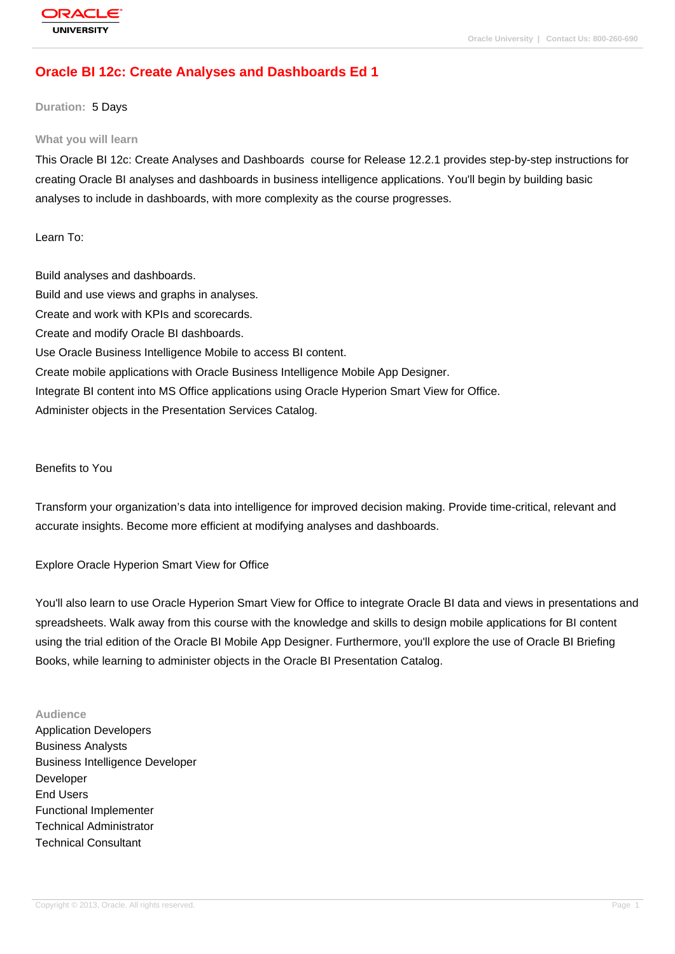# **[Oracle BI 12c:](http://education.oracle.com/pls/web_prod-plq-dad/db_pages.getpage?page_id=3) Create Analyses and Dashboards Ed 1**

#### **Duration:** 5 Days

#### **What you will learn**

This Oracle BI 12c: Create Analyses and Dashboards course for Release 12.2.1 provides step-by-step instructions for creating Oracle BI analyses and dashboards in business intelligence applications. You'll begin by building basic analyses to include in dashboards, with more complexity as the course progresses.

Learn To:

Build analyses and dashboards. Build and use views and graphs in analyses. Create and work with KPIs and scorecards. Create and modify Oracle BI dashboards. Use Oracle Business Intelligence Mobile to access BI content. Create mobile applications with Oracle Business Intelligence Mobile App Designer. Integrate BI content into MS Office applications using Oracle Hyperion Smart View for Office. Administer objects in the Presentation Services Catalog.

Benefits to You

Transform your organization's data into intelligence for improved decision making. Provide time-critical, relevant and accurate insights. Become more efficient at modifying analyses and dashboards.

Explore Oracle Hyperion Smart View for Office

You'll also learn to use Oracle Hyperion Smart View for Office to integrate Oracle BI data and views in presentations and spreadsheets. Walk away from this course with the knowledge and skills to design mobile applications for BI content using the trial edition of the Oracle BI Mobile App Designer. Furthermore, you'll explore the use of Oracle BI Briefing Books, while learning to administer objects in the Oracle BI Presentation Catalog.

#### **Audience**

Application Developers Business Analysts Business Intelligence Developer Developer End Users Functional Implementer Technical Administrator Technical Consultant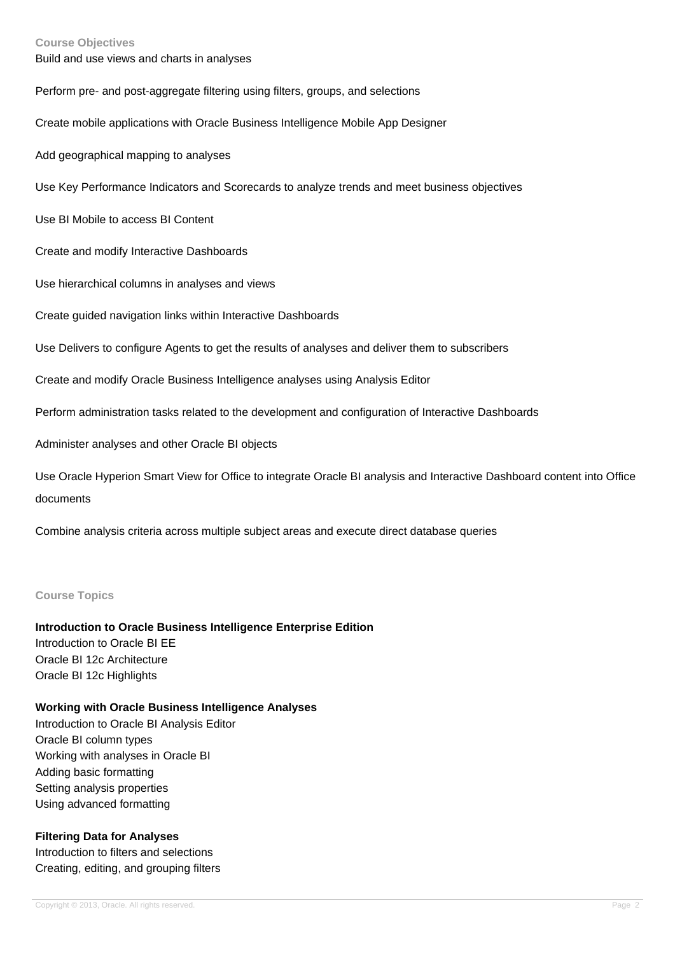#### **Course Objectives**

Build and use views and charts in analyses

Perform pre- and post-aggregate filtering using filters, groups, and selections

Create mobile applications with Oracle Business Intelligence Mobile App Designer

Add geographical mapping to analyses

Use Key Performance Indicators and Scorecards to analyze trends and meet business objectives

Use BI Mobile to access BI Content

Create and modify Interactive Dashboards

Use hierarchical columns in analyses and views

Create guided navigation links within Interactive Dashboards

Use Delivers to configure Agents to get the results of analyses and deliver them to subscribers

Create and modify Oracle Business Intelligence analyses using Analysis Editor

Perform administration tasks related to the development and configuration of Interactive Dashboards

Administer analyses and other Oracle BI objects

Use Oracle Hyperion Smart View for Office to integrate Oracle BI analysis and Interactive Dashboard content into Office documents

Combine analysis criteria across multiple subject areas and execute direct database queries

#### **Course Topics**

### **Introduction to Oracle Business Intelligence Enterprise Edition**

Introduction to Oracle BI EE Oracle BI 12c Architecture Oracle BI 12c Highlights

#### **Working with Oracle Business Intelligence Analyses**

Introduction to Oracle BI Analysis Editor Oracle BI column types Working with analyses in Oracle BI Adding basic formatting Setting analysis properties Using advanced formatting

### **Filtering Data for Analyses**

Introduction to filters and selections Creating, editing, and grouping filters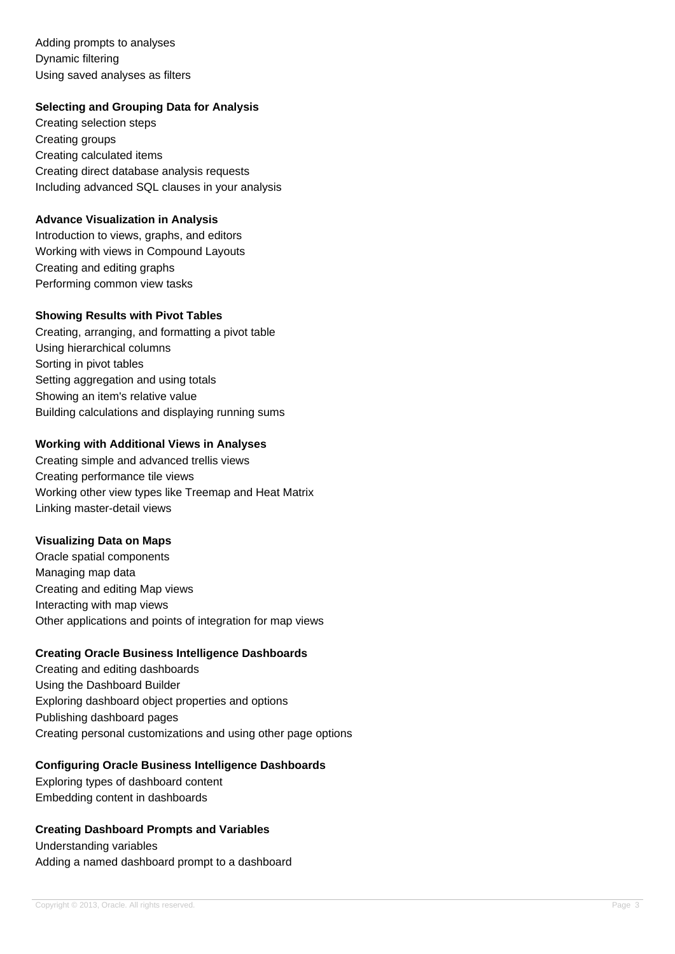Adding prompts to analyses Dynamic filtering Using saved analyses as filters

## **Selecting and Grouping Data for Analysis**

Creating selection steps Creating groups Creating calculated items Creating direct database analysis requests Including advanced SQL clauses in your analysis

### **Advance Visualization in Analysis**

Introduction to views, graphs, and editors Working with views in Compound Layouts Creating and editing graphs Performing common view tasks

## **Showing Results with Pivot Tables**

Creating, arranging, and formatting a pivot table Using hierarchical columns Sorting in pivot tables Setting aggregation and using totals Showing an item's relative value Building calculations and displaying running sums

## **Working with Additional Views in Analyses**

Creating simple and advanced trellis views Creating performance tile views Working other view types like Treemap and Heat Matrix Linking master-detail views

### **Visualizing Data on Maps**

Oracle spatial components Managing map data Creating and editing Map views Interacting with map views Other applications and points of integration for map views

# **Creating Oracle Business Intelligence Dashboards**

Creating and editing dashboards Using the Dashboard Builder Exploring dashboard object properties and options Publishing dashboard pages Creating personal customizations and using other page options

### **Configuring Oracle Business Intelligence Dashboards**

Exploring types of dashboard content Embedding content in dashboards

### **Creating Dashboard Prompts and Variables**

Understanding variables Adding a named dashboard prompt to a dashboard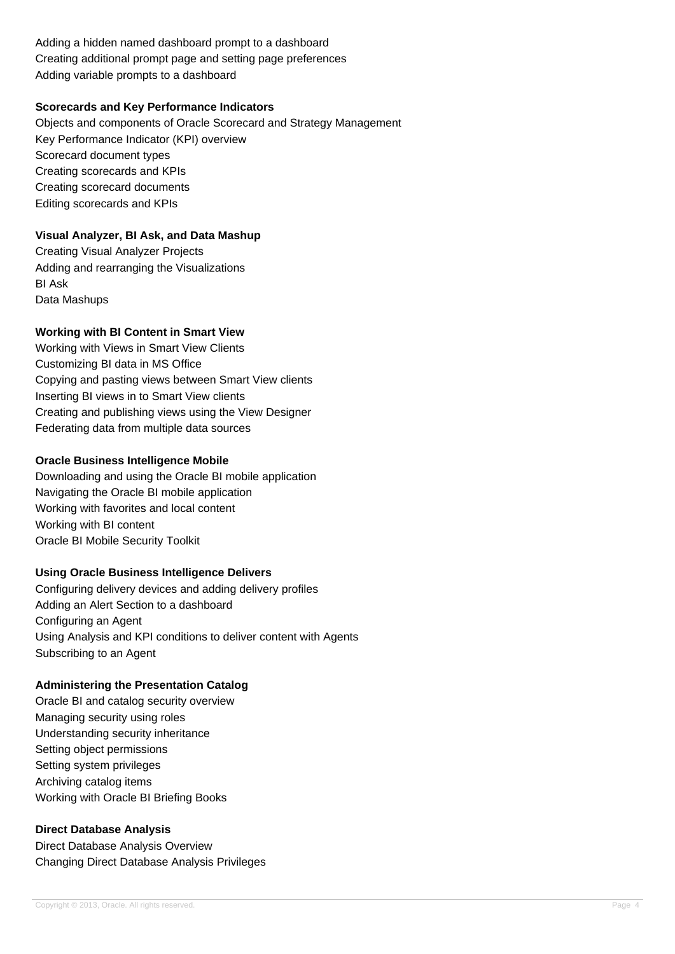Adding a hidden named dashboard prompt to a dashboard Creating additional prompt page and setting page preferences Adding variable prompts to a dashboard

## **Scorecards and Key Performance Indicators**

Objects and components of Oracle Scorecard and Strategy Management Key Performance Indicator (KPI) overview Scorecard document types Creating scorecards and KPIs Creating scorecard documents Editing scorecards and KPIs

# **Visual Analyzer, BI Ask, and Data Mashup**

Creating Visual Analyzer Projects Adding and rearranging the Visualizations BI Ask Data Mashups

## **Working with BI Content in Smart View**

Working with Views in Smart View Clients Customizing BI data in MS Office Copying and pasting views between Smart View clients Inserting BI views in to Smart View clients Creating and publishing views using the View Designer Federating data from multiple data sources

## **Oracle Business Intelligence Mobile**

Downloading and using the Oracle BI mobile application Navigating the Oracle BI mobile application Working with favorites and local content Working with BI content Oracle BI Mobile Security Toolkit

# **Using Oracle Business Intelligence Delivers**

Configuring delivery devices and adding delivery profiles Adding an Alert Section to a dashboard Configuring an Agent Using Analysis and KPI conditions to deliver content with Agents Subscribing to an Agent

### **Administering the Presentation Catalog**

Oracle BI and catalog security overview Managing security using roles Understanding security inheritance Setting object permissions Setting system privileges Archiving catalog items Working with Oracle BI Briefing Books

### **Direct Database Analysis**

Direct Database Analysis Overview Changing Direct Database Analysis Privileges